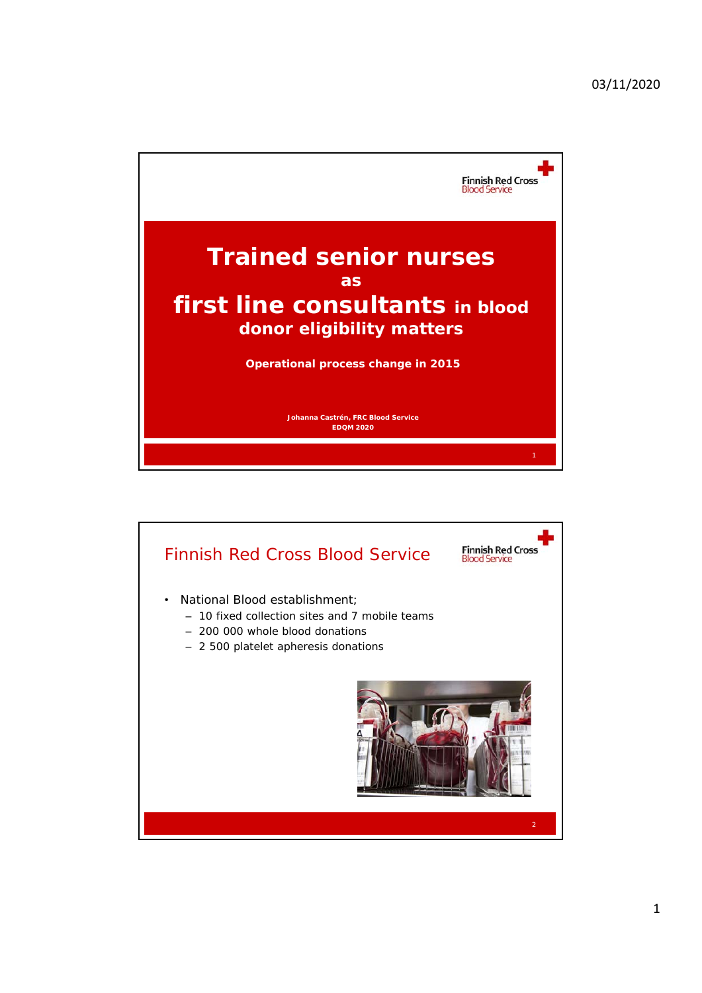

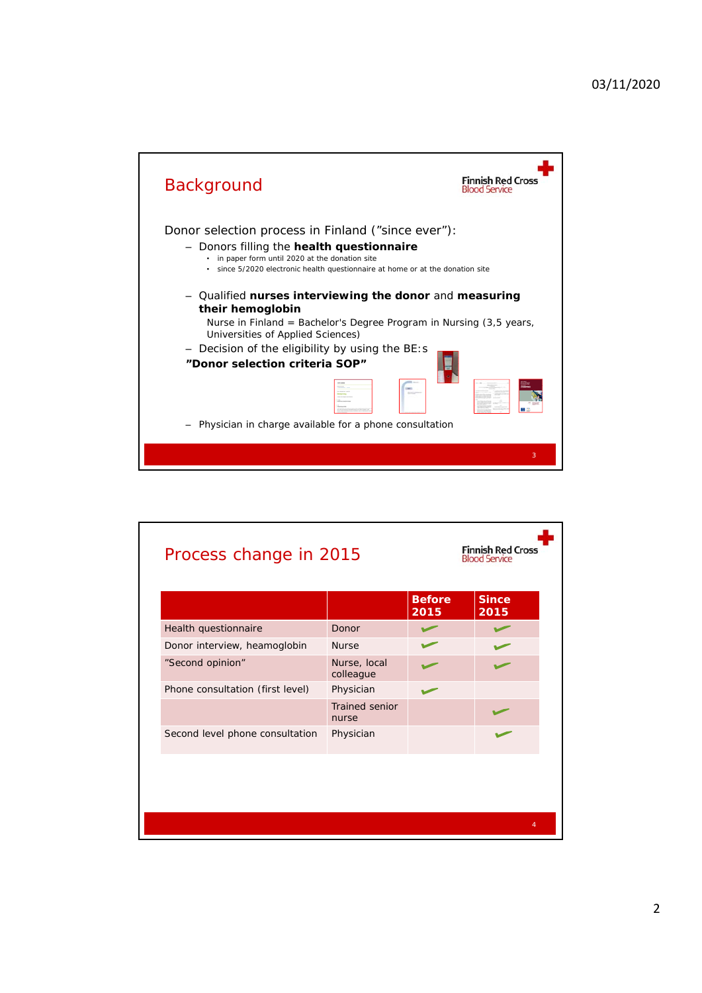

|                                  |                           | <b>Before</b><br>2015 | <b>Since</b><br>2015 |
|----------------------------------|---------------------------|-----------------------|----------------------|
| Health questionnaire             | Donor                     |                       |                      |
| Donor interview, heamoglobin     | <b>Nurse</b>              |                       |                      |
| "Second opinion"                 | Nurse, local<br>colleague |                       |                      |
| Phone consultation (first level) | Physician                 |                       |                      |
|                                  | Trained senior<br>nurse   |                       |                      |
| Second level phone consultation  | Physician                 |                       |                      |
|                                  |                           |                       |                      |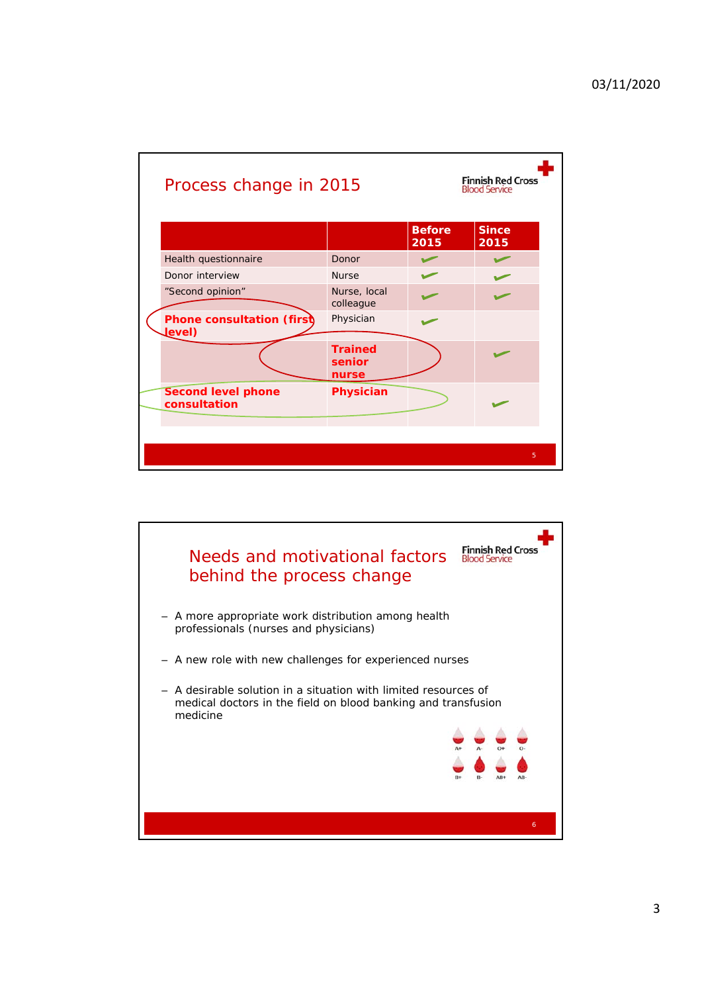| Process change in 2015                    | <b>Finnish Red Cross</b><br><b>Blood Service</b> |                       |                      |  |
|-------------------------------------------|--------------------------------------------------|-----------------------|----------------------|--|
|                                           |                                                  | <b>Before</b><br>2015 | <b>Since</b><br>2015 |  |
| Health questionnaire                      | Donor                                            |                       |                      |  |
| Donor interview                           | <b>Nurse</b>                                     |                       |                      |  |
| "Second opinion"                          | Nurse, local<br>colleague                        |                       |                      |  |
| Phone consultation (first)<br>Level)      | Physician                                        |                       |                      |  |
|                                           | <b>Trained</b><br>senior<br>nurse                |                       |                      |  |
| <b>Second level phone</b><br>consultation | Physician                                        |                       |                      |  |
|                                           |                                                  |                       | 5                    |  |

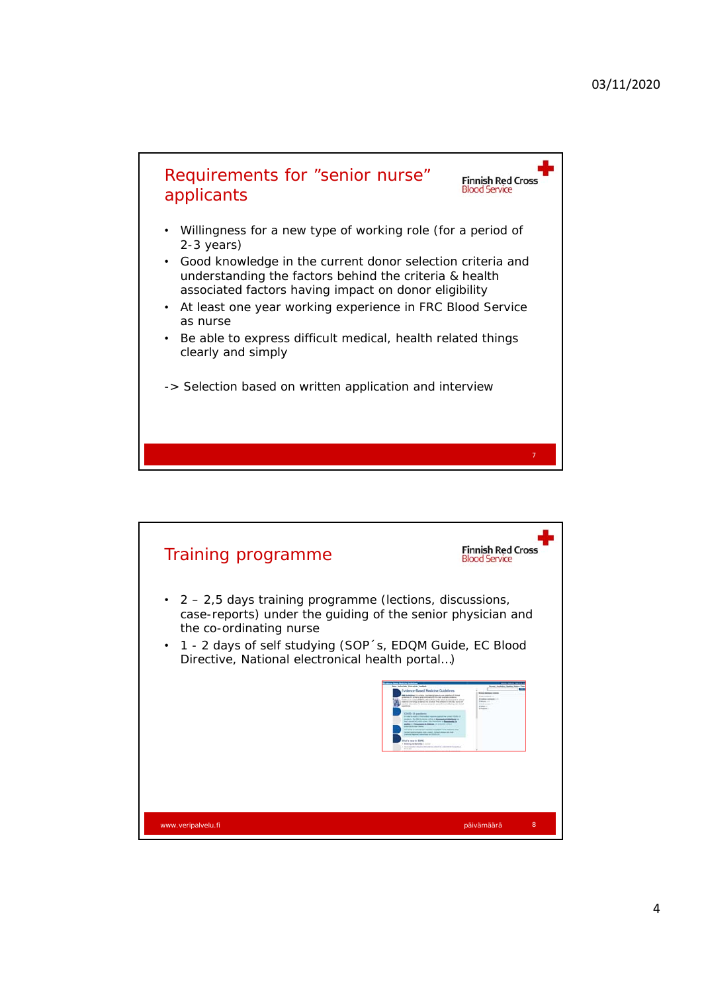

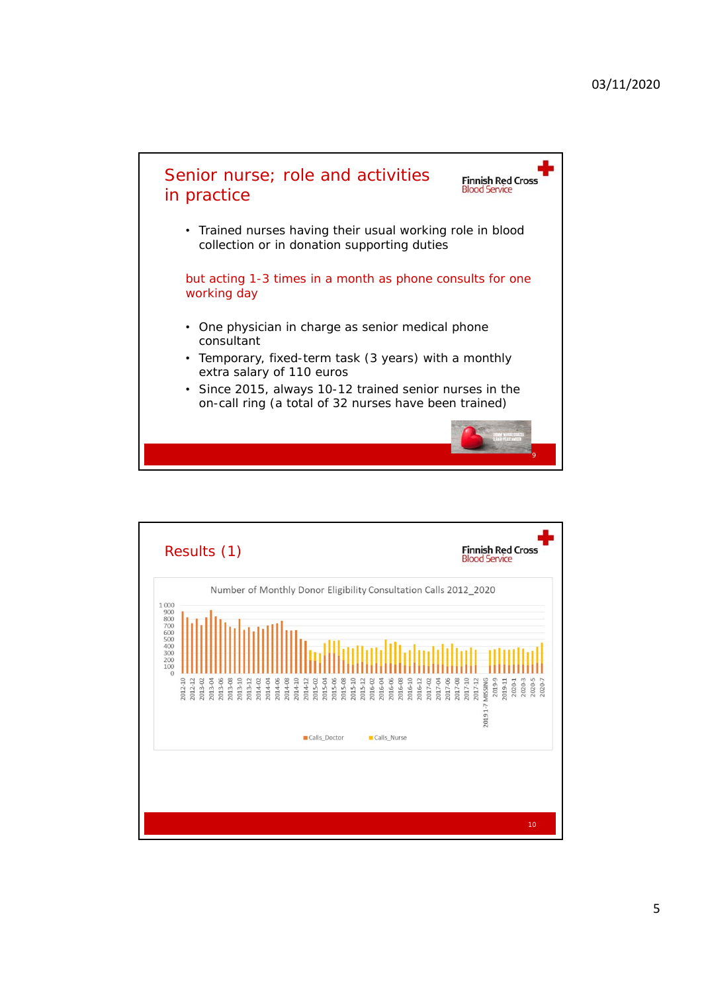

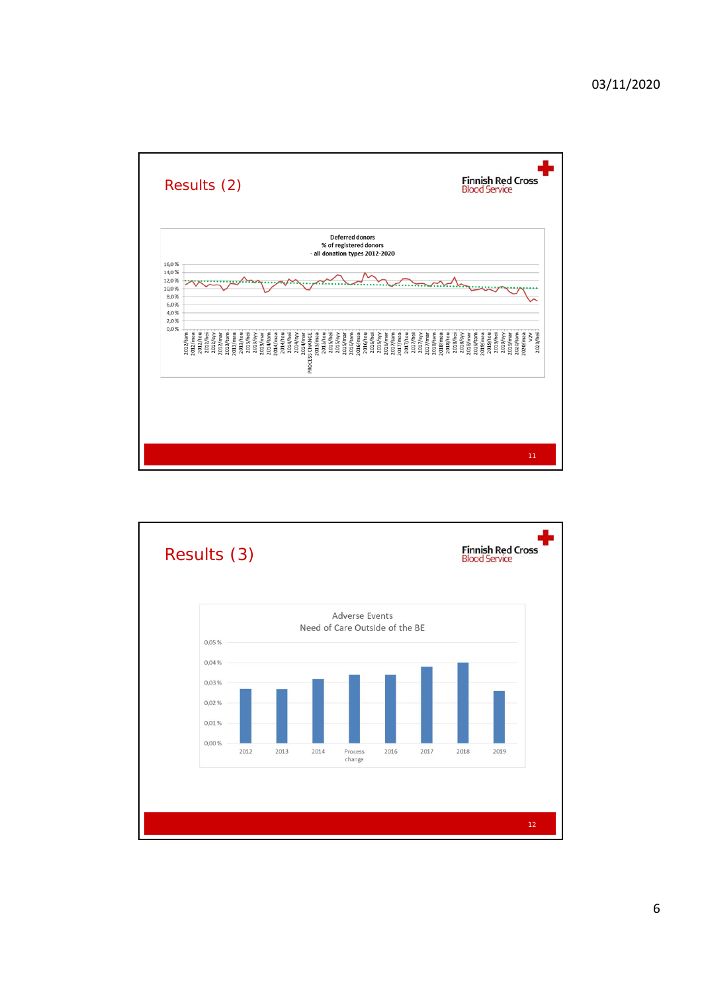

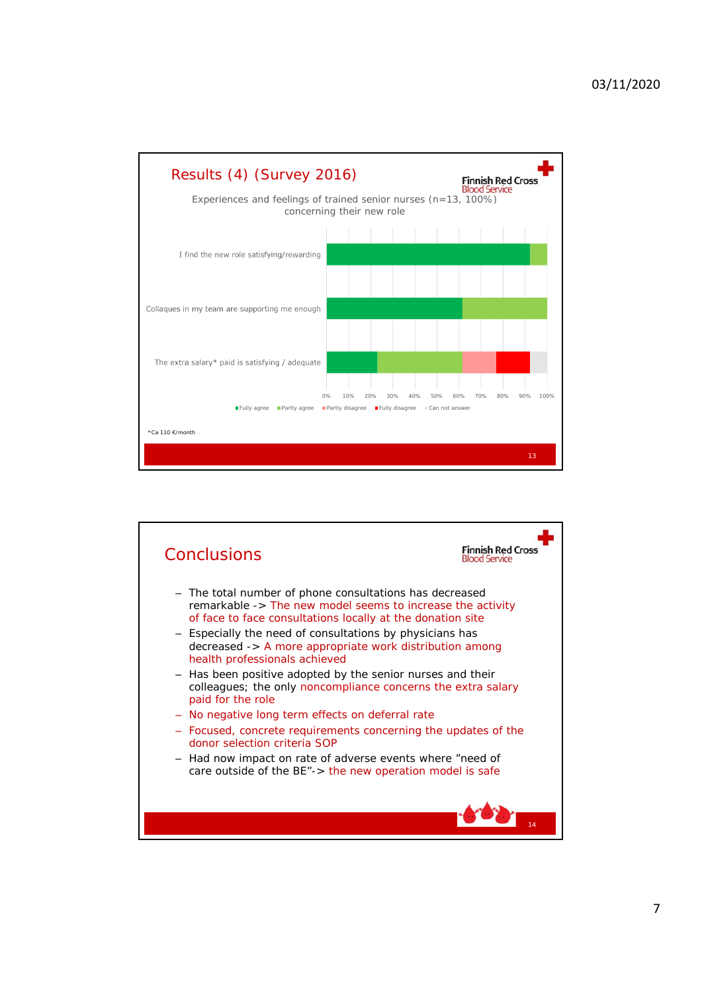